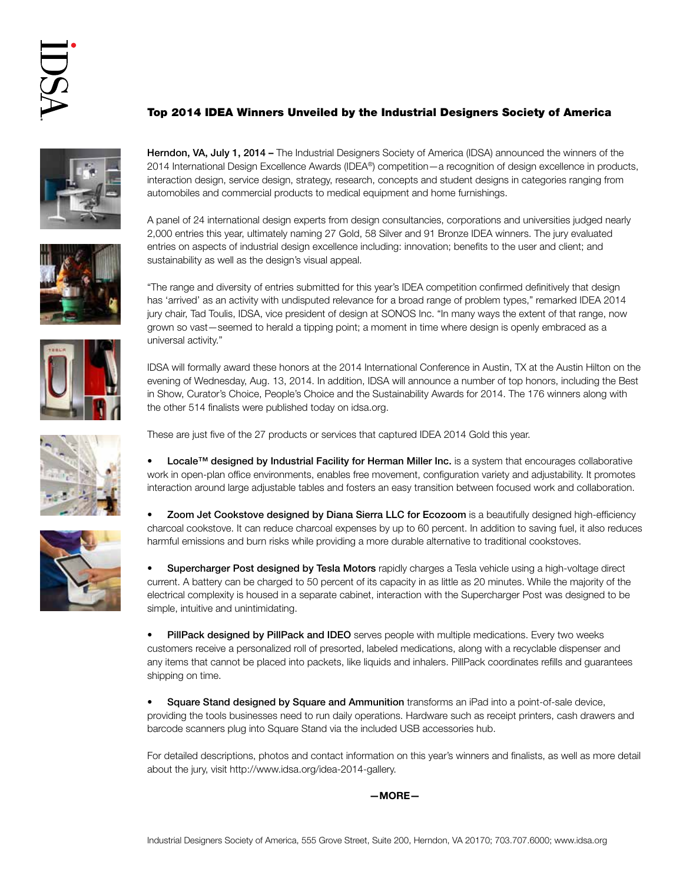## Top 2014 IDEA Winners Unveiled by the Industrial Designers Society of America











Herndon, VA, July 1, 2014 – The Industrial Designers Society of America (IDSA) announced the winners of the 2014 International Design Excellence Awards (IDEA®) competition—a recognition of design excellence in products, interaction design, service design, strategy, research, concepts and student designs in categories ranging from automobiles and commercial products to medical equipment and home furnishings.

A panel of 24 international design experts from design consultancies, corporations and universities judged nearly 2,000 entries this year, ultimately naming 27 Gold, 58 Silver and 91 Bronze IDEA winners. The jury evaluated entries on aspects of industrial design excellence including: innovation; benefits to the user and client; and sustainability as well as the design's visual appeal.

"The range and diversity of entries submitted for this year's IDEA competition confirmed definitively that design has 'arrived' as an activity with undisputed relevance for a broad range of problem types," remarked IDEA 2014 jury chair, Tad Toulis, IDSA, vice president of design at SONOS Inc. "In many ways the extent of that range, now grown so vast—seemed to herald a tipping point; a moment in time where design is openly embraced as a universal activity."

IDSA will formally award these honors at the 2014 International Conference in Austin, TX at the Austin Hilton on the evening of Wednesday, Aug. 13, 2014. In addition, IDSA will announce a number of top honors, including the Best in Show, Curator's Choice, People's Choice and the Sustainability Awards for 2014. The 176 winners along with the other 514 finalists were published today on idsa.org.

These are just five of the 27 products or services that captured IDEA 2014 Gold this year.

Locale™ designed by Industrial Facility for Herman Miller Inc. is a system that encourages collaborative work in open-plan office environments, enables free movement, configuration variety and adjustability. It promotes interaction around large adjustable tables and fosters an easy transition between focused work and collaboration.

• Zoom Jet Cookstove designed by Diana Sierra LLC for Ecozoom is a beautifully designed high-efficiency charcoal cookstove. It can reduce charcoal expenses by up to 60 percent. In addition to saving fuel, it also reduces harmful emissions and burn risks while providing a more durable alternative to traditional cookstoves.

• Supercharger Post designed by Tesla Motors rapidly charges a Tesla vehicle using a high-voltage direct current. A battery can be charged to 50 percent of its capacity in as little as 20 minutes. While the majority of the electrical complexity is housed in a separate cabinet, interaction with the Supercharger Post was designed to be simple, intuitive and unintimidating.

• PillPack designed by PillPack and IDEO serves people with multiple medications. Every two weeks customers receive a personalized roll of presorted, labeled medications, along with a recyclable dispenser and any items that cannot be placed into packets, like liquids and inhalers. PillPack coordinates refills and guarantees shipping on time.

Square Stand designed by Square and Ammunition transforms an iPad into a point-of-sale device, providing the tools businesses need to run daily operations. Hardware such as receipt printers, cash drawers and barcode scanners plug into Square Stand via the included USB accessories hub.

For detailed descriptions, photos and contact information on this year's winners and finalists, as well as more detail about the jury, visit http://www.idsa.org/idea-2014-gallery.

—MORE—